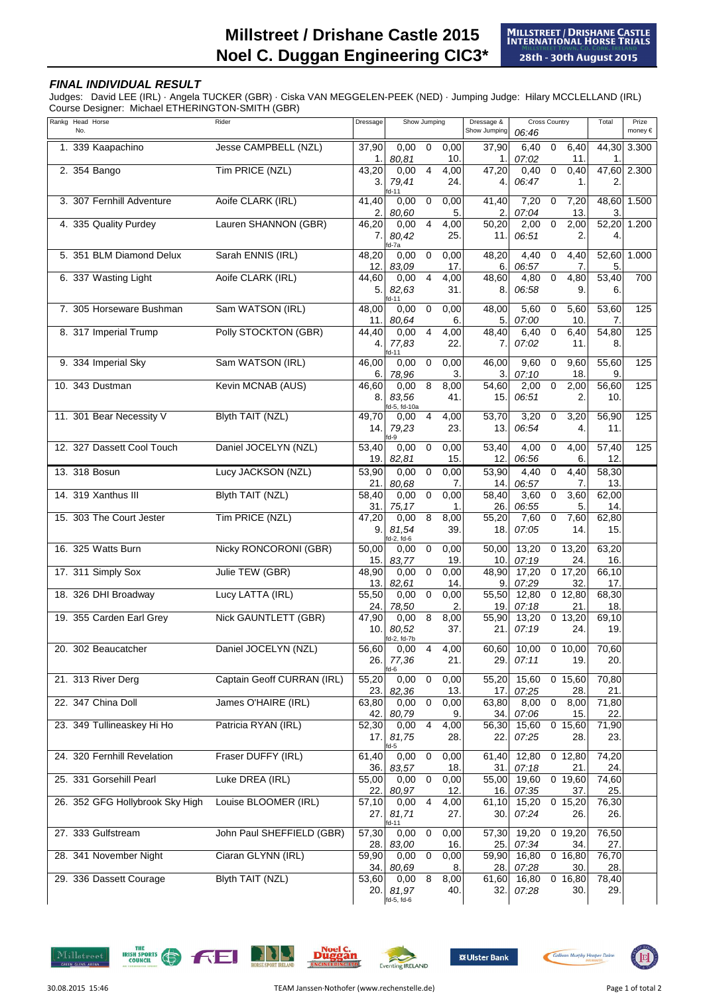## **FINAL INDIVIDUAL RESULT**

Judges: David LEE (IRL) · Angela TUCKER (GBR) · Ciska VAN MEGGELEN-PEEK (NED) · Jumping Judge: Hilary MCCLELLAND (IRL) Course Designer: Michael ETHERINGTON-SMITH (GBR)

| Rankg Head Horse<br>No.         | Rider                      | Dressage                  | Show Jumping                 |                |                         | Dressage &<br>Show Jumping | <b>Cross Country</b><br>06:46 |              |                             | Total                      | Prize<br>money € |
|---------------------------------|----------------------------|---------------------------|------------------------------|----------------|-------------------------|----------------------------|-------------------------------|--------------|-----------------------------|----------------------------|------------------|
| 1. 339 Kaapachino               | Jesse CAMPBELL (NZL)       | 37,90<br>1.               | 0,00<br>80.81                | 0              | 0,00<br>10.             | 37,90<br>1.                | 6,40<br>07:02                 | 0            | 6,40<br>11.                 | 44,30<br>1                 | 3.300            |
| 2. 354 Bango                    | Tim PRICE (NZL)            | 43,20<br>3.               | 0,00<br>79,41                | $\overline{4}$ | 4,00<br>24.             | 47,20<br>4.                | 0,40<br>06:47                 | $\mathbf 0$  | 0,40<br>1.                  | 2                          | 47,60 2.300      |
| 3. 307 Fernhill Adventure       | Aoife CLARK (IRL)          | 41,40<br>2.               | d-11<br>0,00<br>80.60        | $\mathbf 0$    | 0,00<br>5.              | 41,40<br>2.                | 7,20<br>07:04                 | $\mathbf 0$  | 7,20<br>13.                 | 48,60<br>3.                | 1.500            |
| 4. 335 Quality Purdey           | Lauren SHANNON (GBR)       | 46,20<br>7.               | 0,00<br>80.42                | $\overline{4}$ | 4,00<br>25.             | 50,20<br>11.               | 2,00<br>06:51                 | 0            | 2,00<br>2.                  | 52,20<br>4.                | 1.200            |
| 5. 351 BLM Diamond Delux        | Sarah ENNIS (IRL)          | 48,20<br>12.              | id-7a<br>0,00<br>83.09       | $\mathbf 0$    | 0,00<br>17 <sub>1</sub> | 48,20<br>6.                | 4,40<br>06:57                 | $\mathbf 0$  | 4,40<br>7.                  | 52,60<br>5                 | 1.000            |
| 6. 337 Wasting Light            | Aoife CLARK (IRL)          | 44,60<br>5                | 0,00<br>82,63<br>d-11        | $\overline{4}$ | 4,00<br>31.             | 48,60<br>8.                | 4,80<br>06:58                 | $\mathbf 0$  | 4,80<br>9.                  | 53,40<br>6.                | 700              |
| 7. 305 Horseware Bushman        | Sam WATSON (IRL)           | 48,00<br>11.              | 0,00<br>80.64                | $\mathbf 0$    | 0,00<br>6.              | 48,00<br>5.                | 5,60<br>07:00                 | $\mathbf 0$  | 5,60<br>10.                 | 53,60<br>7.                | 125              |
| 8. 317 Imperial Trump           | Polly STOCKTON (GBR)       | 44,40<br>4.               | 0,00<br>77,83<br>fd-11       | 4              | 4,00<br>22.             | 48,40<br>7.                | 6,40<br>07:02                 | 0            | 6,40<br>11.                 | 54,80<br>8.                | 125              |
| 9. 334 Imperial Sky             | Sam WATSON (IRL)           | 46,00<br>6.               | 0,00<br>78,96                | 0              | 0,00<br>3.              | 46,00<br>3.                | 9,60<br>07:10                 | $\mathbf 0$  | 9,60<br>18.                 | 55,60<br>9.                | 125              |
| 10. 343 Dustman                 | Kevin MCNAB (AUS)          | 46,60<br>8.               | 0,00<br>83.56<br>d-5, fd-10a | 8              | 8,00<br>41.             | 54,60<br>15.               | 2,00<br>06:51                 | 0            | 2,00<br>2.                  | 56,60<br>10.               | 125              |
| 11. 301 Bear Necessity V        | <b>Blyth TAIT (NZL)</b>    | 49,70<br>14.              | 0,00<br>79,23<br>fd-9        | 4              | 4,00<br>23.             | 53,70<br>13.               | 3,20<br>06:54                 | 0            | 3,20<br>$\overline{4}$      | 56,90<br>11.               | 125              |
| 12. 327 Dassett Cool Touch      | Daniel JOCELYN (NZL)       | 53,40<br>19.              | 0,00<br>82,81                | $\mathbf 0$    | 0,00<br>15.             | 53,40<br>12.               | 4,00<br>06:56                 | $\mathbf 0$  | 4,00<br>6.                  | 57,40<br>12.               | 125              |
| 13. 318 Bosun                   | Lucy JACKSON (NZL)         | $\overline{5}3,90$<br>21. | 0,00<br>80.68                | $\mathbf 0$    | 0,00<br>7.              | $\overline{53,90}$<br>14.  | 4,40<br>06:57                 | $\mathbf{0}$ | 4,40<br>7.                  | $\frac{1}{58,30}$<br>13.   |                  |
| 14. 319 Xanthus III             | <b>Blyth TAIT (NZL)</b>    | 58,40<br>31.              | 0,00<br>75,17                | $\mathbf 0$    | 0,00<br>1.              | 58,40<br>26.               | 3,60<br>06:55                 | 0            | 3,60<br>5.                  | 62,00<br>14.               |                  |
| 15. 303 The Court Jester        | Tim PRICE (NZL)            | 47,20<br>9.               | 0,00<br>81,54                | 8              | 8.00<br>39.             | 55,20<br>18.               | 7,60<br>07:05                 | $\mathbf 0$  | 7,60<br>14.                 | 62,80<br>15.               |                  |
| 16. 325 Watts Burn              | Nicky RONCORONI (GBR)      | 50,00<br>15.              | id-2, fd-6<br>0,00<br>83,77  | $\mathbf 0$    | 0,00<br>19              | 50,00<br>10.               | 13,20<br>07:19                |              | $0$ 13,20<br>24.            | 63,20<br>16.               |                  |
| 17. 311 Simply Sox              | Julie TEW (GBR)            | 48,90<br>13.              | 0,00<br>82,61                | 0              | 0,00<br>14              | 48,90<br>9.                | 17,20<br>07:29                |              | $0$ 17,20<br>32             | 66,10<br>17.               |                  |
| 18. 326 DHI Broadway            | Lucy LATTA (IRL)           | 55,50<br>24.              | 0,00<br>78,50                | $\mathbf 0$    | 0,00<br>2.              | 55,50<br>19.               | 12,80<br>07:18                |              | $\overline{0}$ 12,80<br>21. | 68,30<br>18.               |                  |
| 19. 355 Carden Earl Grey        | Nick GAUNTLETT (GBR)       | 47,90<br>10.              | 0,00<br>80,52<br>fd-2, fd-7b | 8              | 8,00<br>37.             | 55,90<br>21.               | 13.20<br>07:19                |              | $0$ 13,20<br>24.            | $\overline{69, 10}$<br>19. |                  |
| 20. 302 Beaucatcher             | Daniel JOCELYN (NZL)       | 56,60<br>26.              | 0,00<br>77,36<br>d-6         | $\overline{4}$ | 4,00<br>21.             | 60,60<br>29.               | 10,00<br>07:11                |              | 0,10,00<br>19.              | 70,60<br>20.               |                  |
| 21. 313 River Derg              | Captain Geoff CURRAN (IRL) | 55,20<br>23.              | 0,00<br>82,36                | $\mathbf 0$    | 0,00<br>13.             | 55,20<br>17.               | 15,60<br>07:25                |              | $0$ 15,60<br>28.            | 70,80<br>21.               |                  |
| 22. 347 China Doll              | James O'HAIRE (IRL)        | 63,80<br>42.              | 0,00<br>80,79                | $\mathsf 0$    | 0,00<br>9.              | 63,80<br>34.               | 8,00<br>07:06                 | $\mathsf 0$  | 8,00<br>15.                 | 71,80<br>22.               |                  |
| 23. 349 Tullineaskey Hi Ho      | Patricia RYAN (IRL)        | 52,30<br>17.              | 0,00<br>81,75<br>d-5         | $\overline{4}$ | 4,00<br>28.             | 56,30<br>22.               | 15,60<br>07:25                |              | $0$ 15,60<br>28.            | 71,90<br>23.               |                  |
| 24. 320 Fernhill Revelation     | Fraser DUFFY (IRL)         | 61,40<br>36.              | 0,00<br>83,57                | $\overline{0}$ | 0,00<br>18.             | 61,40<br>31.               | 12,80<br>07:18                |              | $0$ 12,80<br>21.            | 74,20<br>24.               |                  |
| 25. 331 Gorsehill Pearl         | Luke DREA (IRL)            | 55,00<br>22.              | 0,00<br>80,97                | $\mathbf 0$    | 0,00<br>12.             | $\overline{55,00}$<br>16.  | 19,60<br>07:35                |              | $0$ 19,60<br>37.            | 74,60<br>25.               |                  |
| 26. 352 GFG Hollybrook Sky High | Louise BLOOMER (IRL)       | 57,10<br>27.              | 0,00<br>81,71<br>d-11        | $\overline{4}$ | 4,00<br>27.             | 61,10<br>30.               | 15,20<br>07:24                |              | $0$ 15,20<br>26.            | 76,30<br>26.               |                  |
| 27. 333 Gulfstream              | John Paul SHEFFIELD (GBR)  | 57,30<br>28.              | 0,00<br>83,00                | $\mathbf 0$    | 0,00<br>16.             | 57,30<br>25.               | 19,20<br>07:34                |              | $0$ 19,20<br>34.            | 76,50<br>27.               |                  |
| 28. 341 November Night          | Ciaran GLYNN (IRL)         | 59,90<br>34.              | 0,00<br>80,69                | $\mathbf 0$    | 0,00<br>8.              | 59,90<br>28.               | 16,80<br>07:28                |              | $\overline{0}$ 16,80<br>30. | 76,70<br>28.               |                  |
| 29. 336 Dassett Courage         | <b>Blyth TAIT (NZL)</b>    | 53,60<br>20.I             | 0,00<br>81,97<br>fd-5, fd-6  | $\bf 8$        | 8,00<br>40.             | 61,60<br>32.               | 16,80<br>07:28                |              | $0$ 16,80<br>30.            | 78,40<br>29.               |                  |